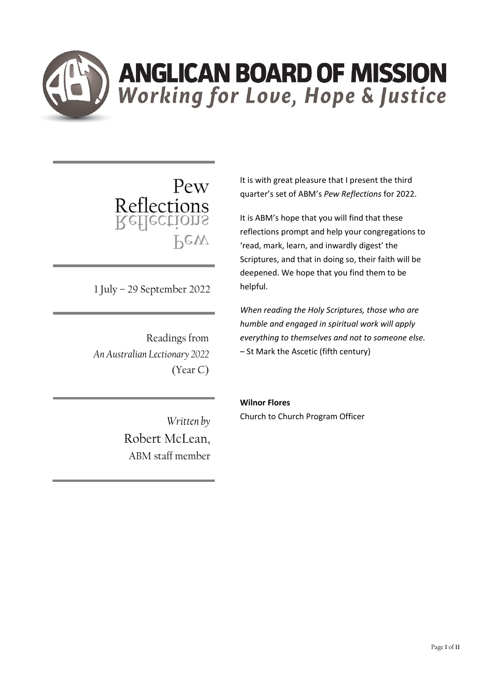

Pew Pew

1 July – 29 September 2022

Readings from *An Australian Lectionary 2022* (Year C)

It is with great pleasure that I present the third quarter's set of ABM's *Pew Reflections* for 2022.

It is ABM's hope that you will find that these reflections prompt and help your congregations to 'read, mark, learn, and inwardly digest' the Scriptures, and that in doing so, their faith will be deepened. We hope that you find them to be helpful.

*When reading the Holy Scriptures, those who are humble and engaged in spiritual work will apply everything to themselves and not to someone else.* – St Mark the Ascetic (fifth century)

*Written by*  Robert McLean, ABM staff member **Wilnor Flores**

Church to Church Program Officer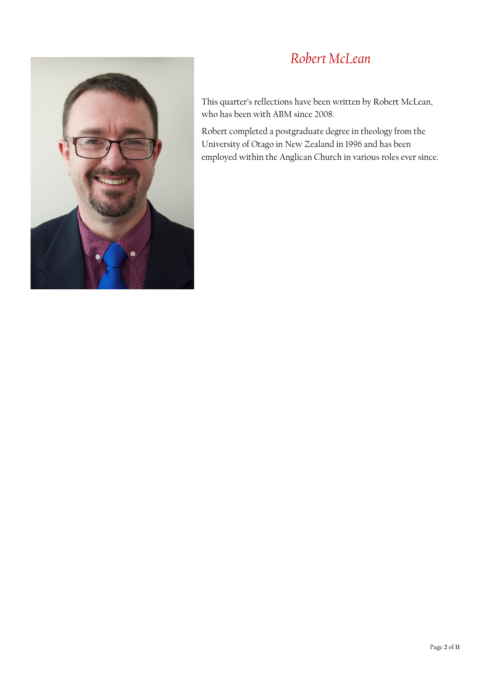# *Robert McLean*



This quarter's reflections have been written by Robert McLean, who has been with ABM since 2008.

Robert completed a postgraduate degree in theology from the University of Otago in New Zealand in 1996 and has been employed within the Anglican Church in various roles ever since.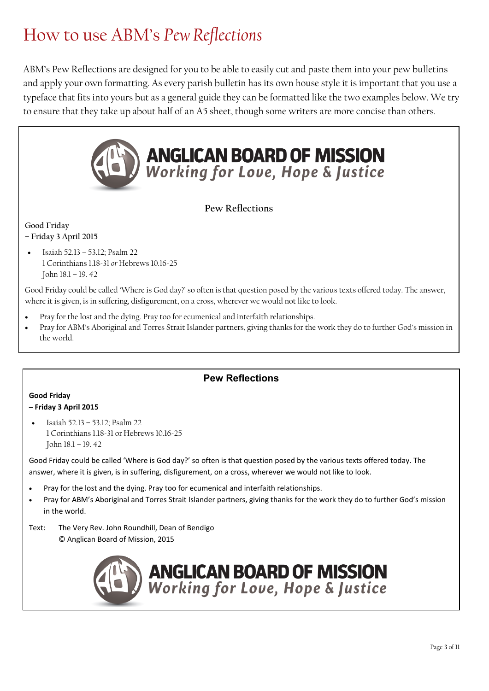# How to use ABM's *Pew Reflections*

ABM's Pew Reflections are designed for you to be able to easily cut and paste them into your pew bulletins and apply your own formatting. As every parish bulletin has its own house style it is important that you use a typeface that fits into yours but as a general guide they can be formatted like the two examples below. We try to ensure that they take up about half of an A5 sheet, though some writers are more concise than others.



**Pew Reflections**

**Good Friday – Friday 3 April 2015**

• Isaiah 52.13 – 53.12; Psalm 22 1 Corinthians 1.18-31 *or* Hebrews 10.16-25 John 18.1 – 19. 42

Good Friday could be called 'Where is God day?' so often is that question posed by the various texts offered today. The answer, where it is given, is in suffering, disfigurement, on a cross, wherever we would not like to look.

- Pray for the lost and the dying. Pray too for ecumenical and interfaith relationships.
- Pray for ABM's Aboriginal and Torres Strait Islander partners, giving thanks for the work they do to further God's mission in the world.

### **Pew Reflections**

### **Good Friday**

#### **– Friday 3 April 2015**

• Isaiah 52.13 – 53.12; Psalm 22 1 Corinthians 1.18-31 or Hebrews 10.16-25 John 18.1 – 19. 42

*Text:* The Very Rev. John Roundhill, Dean of Bendigo © Anglican Board of Mission, 2015

Good Friday could be called 'Where is God day?' so often is that question posed by the various texts offered today. The answer, where it is given, is in suffering, disfigurement, on a cross, wherever we would not like to look.

- Pray for the lost and the dying. Pray too for ecumenical and interfaith relationships.
- Pray for ABM's Aboriginal and Torres Strait Islander partners, giving thanks for the work they do to further God's mission in the world.
- Text: The Very Rev. John Roundhill, Dean of Bendigo © Anglican Board of Mission, 2015

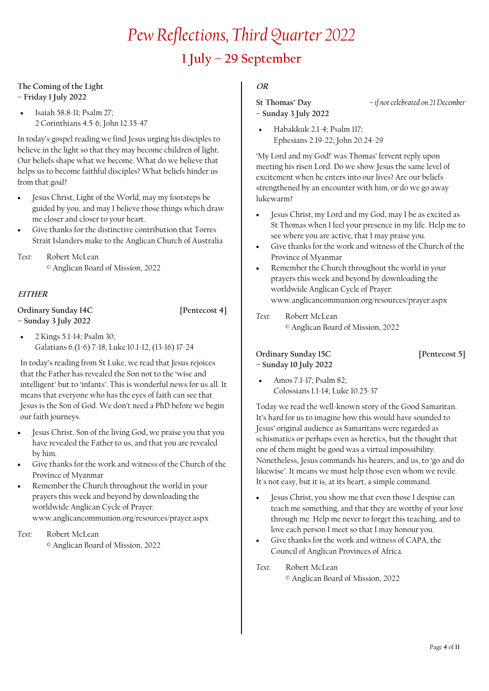# *Pew Reflections, Third Quarter 2022* **1 July – 29 September**

#### **The Coming of the Light – Friday 1 July 2022**

• Isaiah 58.8-11; Psalm 27; 2 Corinthians 4.5-6; John 12.35-47

In today's gospel reading we find Jesus urging his disciples to believe in the light so that they may become children of light. Our beliefs shape what we become. What do we believe that helps us to become faithful disciples? What beliefs hinder us from that goal?

- Jesus Christ, Light of the World, may my footsteps be guided by you, and may I believe those things which draw me closer and closer to your heart.
- Give thanks for the distinctive contribution that Torres Strait Islanders make to the Anglican Church of Australia
- *Text:* Robert McLean © Anglican Board of Mission, 2022

### **EITHER**

**Ordinary Sunday 14C [Pentecost 4] – Sunday 3 July 2022**

• 2 Kings 5.1-14; Psalm 30; Galatians 6.(1-6) 7-18; Luke 10.1-12, (13-16) 17-24

In today's reading from St Luke, we read that Jesus rejoices that the Father has revealed the Son not to the 'wise and intelligent' but to 'infants'. This is wonderful news for us all. It means that everyone who has the eyes of faith can see that Jesus is the Son of God. We don't need a PhD before we begin our faith journeys.

- Jesus Christ, Son of the living God, we praise you that you have revealed the Father to us, and that you are revealed by him.
- Give thanks for the work and witness of the Church of the Province of Myanmar
- Remember the Church throughout the world in your prayers this week and beyond by downloading the worldwide Anglican Cycle of Prayer: www.anglicancommunion.org/resources/prayer.aspx

## *Text:* Robert McLean

© Anglican Board of Mission, 2022

### **OR**

**St Thomas' Day** *– if not celebrated on 21 December* **– Sunday 3 July 2022**

• Habakkuk 2.1-4; Psalm 117; Ephesians 2.19-22; John 20.24-29

'My Lord and my God!' was Thomas' fervent reply upon meeting his risen Lord. Do we show Jesus the same level of excitement when he enters into our lives? Are our beliefs strengthened by an encounter with him, or do we go away lukewarm?

- Jesus Christ, my Lord and my God, may I be as excited as St Thomas when I feel your presence in my life. Help me to see where you are active, that I may praise you.
- Give thanks for the work and witness of the Church of the Province of Myanmar
- Remember the Church throughout the world in your prayers this week and beyond by downloading the worldwide Anglican Cycle of Prayer: www.anglicancommunion.org/resources/prayer.aspx
- *Text:* Robert McLean © Anglican Board of Mission, 2022

**Ordinary Sunday 15C [Pentecost 5] – Sunday 10 July 2022**

• Amos 7.1-17; Psalm 82; Colossians 1.1-14; Luke 10.25-37

Today we read the well-known story of the Good Samaritan. It's hard for us to imagine how this would have sounded to Jesus' original audience as Samaritans were regarded as schismatics or perhaps even as heretics, but the thought that one of them might be good was a virtual impossibility. Nonetheless, Jesus commands his hearers, and us, to 'go and do likewise'. It means we must help those even whom we revile. It's not easy, but it is, at its heart, a simple command.

- Jesus Christ, you show me that even those I despise can teach me something, and that they are worthy of your love through me. Help me never to forget this teaching, and to love each person I meet so that I may honour you.
- Give thanks for the work and witness of CAPA, the Council of Anglican Provinces of Africa.

*Text:* Robert McLean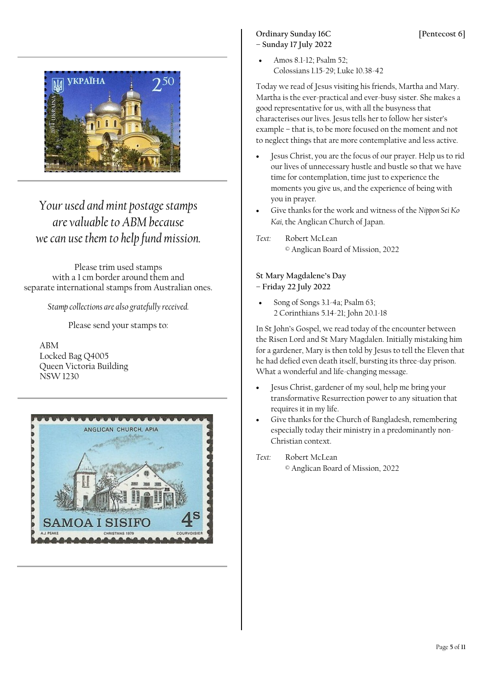

*Your used and mint postage stamps are valuable to ABM because we can use them to help fund mission.*

Please trim used stamps with a 1 cm border around them and separate international stamps from Australian ones.

*Stamp collections are also gratefully received.*

Please send your stamps to:

ABM Locked Bag Q4005 Queen Victoria Building NSW 1230



#### Ordinary Sunday 16C [Pentecost 6] **– Sunday 17 July 2022**

• Amos 8.1-12; Psalm 52; Colossians 1.15-29; Luke 10.38-42

Today we read of Jesus visiting his friends, Martha and Mary. Martha is the ever-practical and ever-busy sister. She makes a good representative for us, with all the busyness that characterises our lives. Jesus tells her to follow her sister's example – that is, to be more focused on the moment and not to neglect things that are more contemplative and less active.

- Jesus Christ, you are the focus of our prayer. Help us to rid our lives of unnecessary hustle and bustle so that we have time for contemplation, time just to experience the moments you give us, and the experience of being with you in prayer.
- Give thanks for the work and witness of the *Nippon Sei Ko Kai,* the Anglican Church of Japan.

*Text:* Robert McLean © Anglican Board of Mission, 2022

**St Mary Magdalene's Day – Friday 22 July 2022**

• Song of Songs 3.1-4a; Psalm 63; 2 Corinthians 5.14-21; John 20.1-18

In St John's Gospel, we read today of the encounter between the Risen Lord and St Mary Magdalen. Initially mistaking him for a gardener, Mary is then told by Jesus to tell the Eleven that he had defied even death itself, bursting its three-day prison. What a wonderful and life-changing message.

- Jesus Christ, gardener of my soul, help me bring your transformative Resurrection power to any situation that requires it in my life.
- Give thanks for the Church of Bangladesh, remembering especially today their ministry in a predominantly non-Christian context.
- *Text:* Robert McLean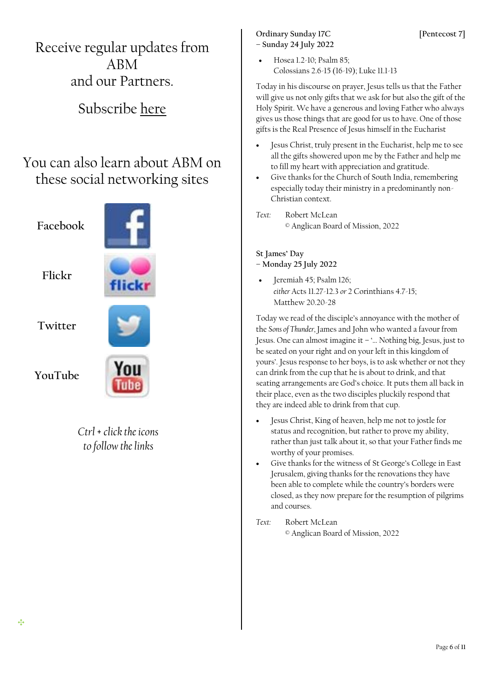Receive regular updates from ABM and our Partners.

# Subscribe [here](http://www.abmission.org/pages/subscribe-to-our-e-news.html)

# You can also learn about ABM on these social networking sites



*Ctrl + click the icons to follow the links*

#### Ordinary Sunday 17C [Pentecost 7] **– Sunday 24 July 2022**

• Hosea 1.2-10; Psalm 85; Colossians 2.6-15 (16-19); Luke 11.1-13

Today in his discourse on prayer, Jesus tells us that the Father will give us not only gifts that we ask for but also the gift of the Holy Spirit. We have a generous and loving Father who always gives us those things that are good for us to have. One of those gifts is the Real Presence of Jesus himself in the Eucharist

- Jesus Christ, truly present in the Eucharist, help me to see all the gifts showered upon me by the Father and help me to fill my heart with appreciation and gratitude.
- Give thanks for the Church of South India, remembering especially today their ministry in a predominantly non-Christian context.
- *Text:* Robert McLean © Anglican Board of Mission, 2022

#### **St James' Day – Monday 25 July 2022**

• Jeremiah 45; Psalm 126; *either* Acts 11.27-12.3 *or* 2 Corinthians 4.7-15; Matthew 20.20-28

Today we read of the disciple's annoyance with the mother of the *Sons of Thunder,* James and John who wanted a favour from Jesus. One can almost imagine it – '… Nothing big, Jesus, just to be seated on your right and on your left in this kingdom of yours'. Jesus response to her boys, is to ask whether or not they can drink from the cup that he is about to drink, and that seating arrangements are God's choice. It puts them all back in their place, even as the two disciples pluckily respond that they are indeed able to drink from that cup.

- Jesus Christ, King of heaven, help me not to jostle for status and recognition, but rather to prove my ability, rather than just talk about it, so that your Father finds me worthy of your promises.
- Give thanks for the witness of St George's College in East Jerusalem, giving thanks for the renovations they have been able to complete while the country's borders were closed, as they now prepare for the resumption of pilgrims and courses.
- *Text:* Robert McLean © Anglican Board of Mission, 2022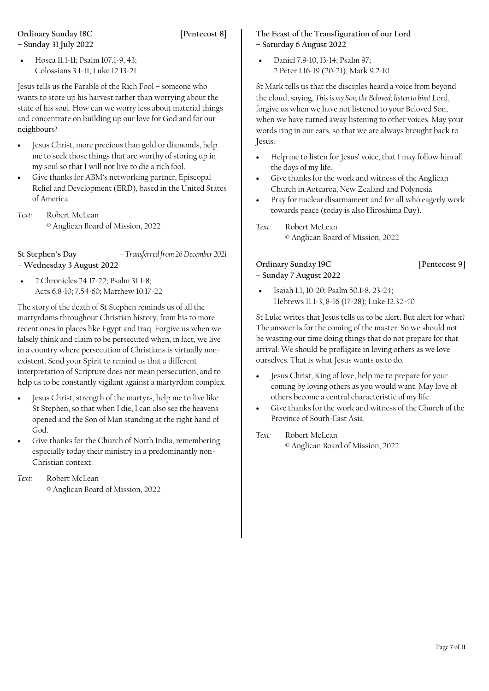#### **Ordinary Sunday 18C [Pentecost 8] – Sunday 31 July 2022**

• Hosea 11.1-11; Psalm 107.1-9, 43; Colossians 3.1-11; Luke 12.13-21

Jesus tells us the Parable of the Rich Fool – someone who wants to store up his harvest rather than worrying about the state of his soul. How can we worry less about material things and concentrate on building up our love for God and for our neighbours?

- Jesus Christ, more precious than gold or diamonds, help me to seek those things that are worthy of storing up in my soul so that I will not live to die a rich fool.
- Give thanks for ABM's networking partner, Episcopal Relief and Development (ERD), based in the United States of America.
- *Text:* Robert McLean © Anglican Board of Mission, 2022

**St Stephen's Day** *– Transferred from 26 December 2021* **– Wednesday 3 August 2022**

• 2 Chronicles 24.17-22; Psalm 31.1-8; Acts 6.8-10; 7.54-60; Matthew 10.17-22

The story of the death of St Stephen reminds us of all the martyrdoms throughout Christian history, from his to more recent ones in places like Egypt and Iraq. Forgive us when we falsely think and claim to be persecuted when, in fact, we live in a country where persecution of Christians is virtually nonexistent. Send your Spirit to remind us that a different interpretation of Scripture does not mean persecution, and to help us to be constantly vigilant against a martyrdom complex.

- Jesus Christ, strength of the martyrs, help me to live like St Stephen, so that when I die, I can also see the heavens opened and the Son of Man standing at the right hand of God.
- Give thanks for the Church of North India, remembering especially today their ministry in a predominantly non-Christian context.
- *Text:* Robert McLean

© Anglican Board of Mission, 2022

#### **The Feast of the Transfiguration of our Lord – Saturday 6 August 2022**

• Daniel 7.9-10, 13-14; Psalm 97; 2 Peter 1.16-19 (20-21); Mark 9.2-10

St Mark tells us that the disciples heard a voice from beyond the cloud, saying, *This is my Son, the Beloved; listen to him!* Lord, forgive us when we have not listened to your Beloved Son, when we have turned away listening to other voices. May your words ring in our ears, so that we are always brought back to Jesus.

- Help me to listen for Jesus' voice, that I may follow him all the days of my life.
- Give thanks for the work and witness of the Anglican Church in Aotearoa, New Zealand and Polynesia
- Pray for nuclear disarmament and for all who eagerly work towards peace (today is also Hiroshima Day).

*Text:* Robert McLean

© Anglican Board of Mission, 2022

#### **Ordinary Sunday 19C [Pentecost 9] – Sunday 7 August 2022**

• Isaiah 1.1, 10-20; Psalm 50.1-8, 23-24; Hebrews 11.1-3, 8-16 (17-28); Luke 12.32-40

St Luke writes that Jesus tells us to be alert. But alert for what? The answer is for the coming of the master. So we should not be wasting our time doing things that do not prepare for that arrival. We should be profligate in loving others as we love ourselves. That is what Jesus wants us to do.

- Jesus Christ, King of love, help me to prepare for your coming by loving others as you would want. May love of others become a central characteristic of my life.
- Give thanks for the work and witness of the Church of the Province of South-East Asia.

*Text:* Robert McLean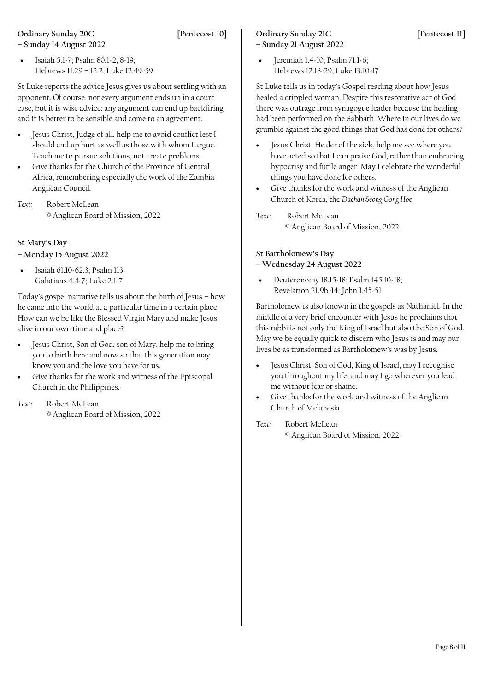# **Ordinary Sunday 20C [Pentecost 10]**

**– Sunday 14 August 2022**

• Isaiah 5.1-7; Psalm 80.1-2, 8-19; Hebrews 11.29 – 12.2; Luke 12.49-59

St Luke reports the advice Jesus gives us about settling with an opponent. Of course, not every argument ends up in a court case, but it is wise advice: any argument can end up backfiring and it is better to be sensible and come to an agreement.

- Jesus Christ, Judge of all, help me to avoid conflict lest I should end up hurt as well as those with whom I argue. Teach me to pursue solutions, not create problems.
- Give thanks for the Church of the Province of Central Africa, remembering especially the work of the Zambia Anglican Council.
- *Text:* Robert McLean © Anglican Board of Mission, 2022

## **St Mary's Day**

**– Monday 15 August 2022**

• Isaiah 61.10-62.3; Psalm 113; Galatians 4.4-7; Luke 2.1-7

Today's gospel narrative tells us about the birth of Jesus – how he came into the world at a particular time in a certain place. How can we be like the Blessed Virgin Mary and make Jesus alive in our own time and place?

- Jesus Christ, Son of God, son of Mary, help me to bring you to birth here and now so that this generation may know you and the love you have for us.
- Give thanks for the work and witness of the Episcopal Church in the Philippines.
- *Text:* Robert McLean © Anglican Board of Mission, 2022

## **Ordinary Sunday 21C** [Pentecost 11]

- **– Sunday 21 August 2022**
- Jeremiah 1.4-10; Psalm 71.1-6; Hebrews 12.18-29; Luke 13.10-17

St Luke tells us in today's Gospel reading about how Jesus healed a crippled woman. Despite this restorative act of God there was outrage from synagogue leader because the healing had been performed on the Sabbath. Where in our lives do we grumble against the good things that God has done for others?

- Jesus Christ, Healer of the sick, help me see where you have acted so that I can praise God, rather than embracing hypocrisy and futile anger. May I celebrate the wonderful things you have done for others.
- Give thanks for the work and witness of the Anglican Church of Korea, the *Daehan Seong Gong Hoe.*
- *Text:* Robert McLean © Anglican Board of Mission, 2022

### **St Bartholomew's Day**

**– Wednesday 24 August 2022**

• Deuteronomy 18.15-18; Psalm 145.10-18; Revelation 21.9b-14; John 1.45-51

Bartholomew is also known in the gospels as Nathaniel. In the middle of a very brief encounter with Jesus he proclaims that this rabbi is not only the King of Israel but also the Son of God. May we be equally quick to discern who Jesus is and may our lives be as transformed as Bartholomew's was by Jesus.

- Jesus Christ, Son of God, King of Israel, may I recognise you throughout my life, and may I go wherever you lead me without fear or shame.
- Give thanks for the work and witness of the Anglican Church of Melanesia.
- *Text:* Robert McLean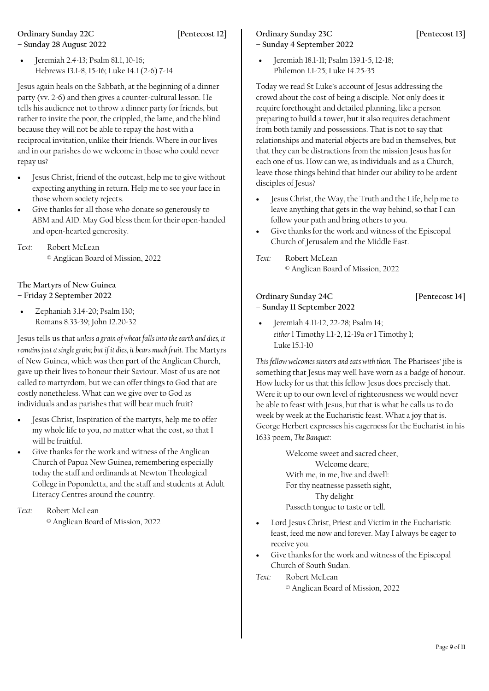# **Ordinary Sunday 22C [Pentecost 12]**

**– Sunday 28 August 2022**

• Jeremiah 2.4-13; Psalm 81.1, 10-16; Hebrews 13.1-8, 15-16; Luke 14.1 (2-6) 7-14

Jesus again heals on the Sabbath, at the beginning of a dinner party (vv. 2-6) and then gives a counter-cultural lesson. He tells his audience not to throw a dinner party for friends, but rather to invite the poor, the crippled, the lame, and the blind because they will not be able to repay the host with a reciprocal invitation, unlike their friends. Where in our lives and in our parishes do we welcome in those who could never repay us?

- Jesus Christ, friend of the outcast, help me to give without expecting anything in return. Help me to see your face in those whom society rejects.
- Give thanks for all those who donate so generously to ABM and AID. May God bless them for their open-handed and open-hearted generosity.
- *Text:* Robert McLean © Anglican Board of Mission, 2022

**The Martyrs of New Guinea – Friday 2 September 2022**

• Zephaniah 3.14-20; Psalm 130; Romans 8.33-39; John 12.20-32

Jesus tells us that *unless a grain of wheat falls into the earth and dies, it remains just a single grain; but if it dies, it bears much fruit.* The Martyrs of New Guinea, which was then part of the Anglican Church, gave up their lives to honour their Saviour. Most of us are not called to martyrdom, but we can offer things to God that are costly nonetheless. What can we give over to God as individuals and as parishes that will bear much fruit?

- Jesus Christ, Inspiration of the martyrs, help me to offer my whole life to you, no matter what the cost, so that I will be fruitful.
- Give thanks for the work and witness of the Anglican Church of Papua New Guinea, remembering especially today the staff and ordinands at Newton Theological College in Popondetta, and the staff and students at Adult Literacy Centres around the country.

*Text:* Robert McLean © Anglican Board of Mission, 2022

### **Ordinary Sunday 23C [Pentecost 13]**

**– Sunday 4 September 2022**

• Jeremiah 18.1-11; Psalm 139.1-5, 12-18; Philemon 1.1-25; Luke 14.25-35

Today we read St Luke's account of Jesus addressing the crowd about the cost of being a disciple. Not only does it require forethought and detailed planning, like a person preparing to build a tower, but it also requires detachment from both family and possessions. That is not to say that relationships and material objects are bad in themselves, but that they can be distractions from the mission Jesus has for each one of us. How can we, as individuals and as a Church, leave those things behind that hinder our ability to be ardent disciples of Jesus?

- Jesus Christ, the Way, the Truth and the Life, help me to leave anything that gets in the way behind, so that I can follow your path and bring others to you.
- Give thanks for the work and witness of the Episcopal Church of Jerusalem and the Middle East.

*Text:* Robert McLean © Anglican Board of Mission, 2022

**Ordinary Sunday 24C [Pentecost 14] – Sunday 11 September 2022**

• Jeremiah 4.11-12, 22-28; Psalm 14; *either* 1 Timothy 1.1-2, 12-19a *or* 1 Timothy 1; Luke 15.1-10

*This fellow welcomes sinners and eats with them.* The Pharisees' jibe is something that Jesus may well have worn as a badge of honour. How lucky for us that this fellow Jesus does precisely that. Were it up to our own level of righteousness we would never be able to feast with Jesus, but that is what he calls us to do week by week at the Eucharistic feast. What a joy that is. George Herbert expresses his eagerness for the Eucharist in his 1633 poem, *The Banquet*:

> Welcome sweet and sacred cheer, Welcome deare; With me, in me, live and dwell: For thy neatnesse passeth sight, Thy delight Passeth tongue to taste or tell.

- Lord Jesus Christ, Priest and Victim in the Eucharistic feast, feed me now and forever. May I always be eager to receive you.
- Give thanks for the work and witness of the Episcopal Church of South Sudan.

*Text:* Robert McLean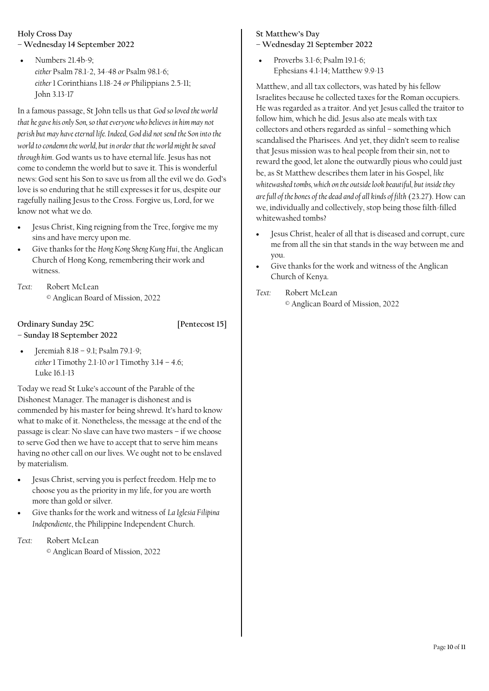#### **Holy Cross Day**

- **– Wednesday 14 September 2022**
- Numbers 21.4b-9; *either* Psalm 78.1-2, 34-48 *or* Psalm 98.1-6; *either* 1 Corinthians 1.18-24 *or* Philippians 2.5-11; John 3.13-17

In a famous passage, St John tells us that *God so loved the world that he gave his only Son, so that everyone who believes in him may not perish but may have eternal life. Indeed, God did not send the Son into the world to condemn the world, but in order that the world might be saved through him*. God wants us to have eternal life. Jesus has not come to condemn the world but to save it. This is wonderful news: God sent his Son to save us from all the evil we do. God's love is so enduring that he still expresses it for us, despite our ragefully nailing Jesus to the Cross. Forgive us, Lord, for we know not what we do.

- Jesus Christ, King reigning from the Tree, forgive me my sins and have mercy upon me.
- Give thanks for the *Hong Kong Sheng Kung Hui*, the Anglican Church of Hong Kong, remembering their work and witness.
- *Text:* Robert McLean © Anglican Board of Mission, 2022

#### **Ordinary Sunday 25C [Pentecost 15]**

- **– Sunday 18 September 2022**
- Jeremiah 8.18 9.1; Psalm 79.1-9; *either* 1 Timothy 2.1-10 *or* 1 Timothy 3.14 – 4.6; Luke 16.1-13

Today we read St Luke's account of the Parable of the Dishonest Manager. The manager is dishonest and is commended by his master for being shrewd. It's hard to know what to make of it. Nonetheless, the message at the end of the passage is clear: No slave can have two masters – if we choose to serve God then we have to accept that to serve him means having no other call on our lives. We ought not to be enslaved by materialism.

- Jesus Christ, serving you is perfect freedom. Help me to choose you as the priority in my life, for you are worth more than gold or silver.
- Give thanks for the work and witness of *La Iglesia Filipina Independiente*, the Philippine Independent Church.

*Text:* Robert McLean

© Anglican Board of Mission, 2022

#### **St Matthew's Day**

- **– Wednesday 21 September 2022**
- Proverbs 3.1-6; Psalm 19.1-6; Ephesians 4.1-14; Matthew 9.9-13

Matthew, and all tax collectors, was hated by his fellow Israelites because he collected taxes for the Roman occupiers. He was regarded as a traitor. And yet Jesus called the traitor to follow him, which he did. Jesus also ate meals with tax collectors and others regarded as sinful – something which scandalised the Pharisees. And yet, they didn't seem to realise that Jesus mission was to heal people from their sin, not to reward the good, let alone the outwardly pious who could just be, as St Matthew describes them later in his Gospel, *like whitewashed tombs, which on the outside look beautiful, but inside they are full of the bones of the dead and of all kinds of filth* (23.27). How can we, individually and collectively, stop being those filth-filled whitewashed tombs?

- Jesus Christ, healer of all that is diseased and corrupt, cure me from all the sin that stands in the way between me and you.
- Give thanks for the work and witness of the Anglican Church of Kenya.
- *Text:* Robert McLean © Anglican Board of Mission, 2022